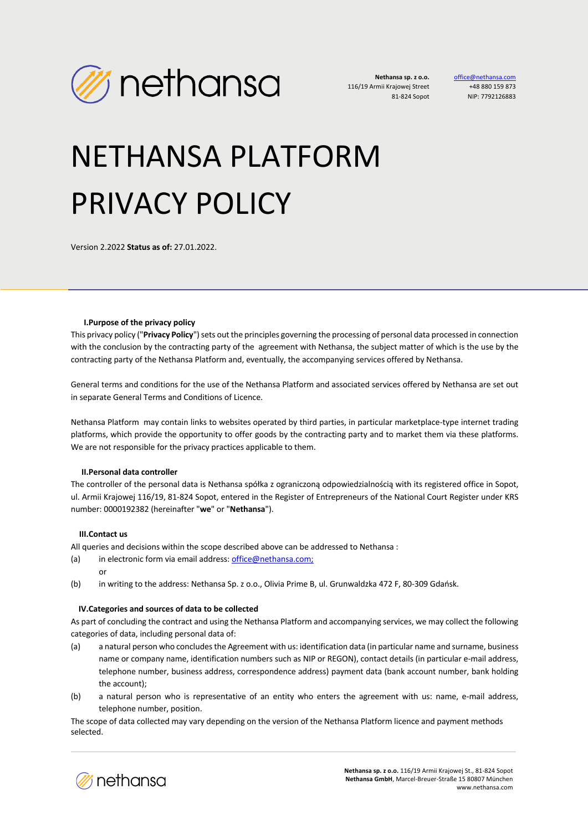

office@nethal +48 880 159 873 NIP: 7792126883

# NETHANSA PLATFORM PRIVACY POLICY

Version 2.2022 **Status as of:** 27.01.2022.

#### **I.Purpose of the privacy policy**

This privacy policy ("**Privacy Policy**") sets out the principles governing the processing of personal data processed in connection with the conclusion by the contracting party of the agreement with Nethansa, the subject matter of which is the use by the contracting party of the Nethansa Platform and, eventually, the accompanying services offered by Nethansa.

General terms and conditions for the use of the Nethansa Platform and associated services offered by Nethansa are set out in separate General Terms and Conditions of Licence.

Nethansa Platform may contain links to websites operated by third parties, in particular marketplace-type internet trading platforms, which provide the opportunity to offer goods by the contracting party and to market them via these platforms. We are not responsible for the privacy practices applicable to them.

## **II.Personal data controller**

The controller of the personal data is Nethansa spółka z ograniczoną odpowiedzialnością with its registered office in Sopot, ul. Armii Krajowej 116/19, 81-824 Sopot, entered in the Register of Entrepreneurs of the National Court Register under KRS number: 0000192382 (hereinafter "**we**" or "**Nethansa**").

## **III.Contact us**

All queries and decisions within the scope described above can be addressed to Nethansa :

- (a) in electronic form via email address: office@nethansa.com; or
- (b) in writing to the address: Nethansa Sp. z o.o., Olivia Prime B, ul. Grunwaldzka 472 F, 80-309 Gdańsk.

#### **IV.Categories and sources of data to be collected**

As part of concluding the contract and using the Nethansa Platform and accompanying services, we may collect the following categories of data, including personal data of:

- (a) a natural person who concludes the Agreement with us: identification data (in particular name and surname, business name or company name, identification numbers such as NIP or REGON), contact details (in particular e-mail address, telephone number, business address, correspondence address) payment data (bank account number, bank holding the account);
- (b) a natural person who is representative of an entity who enters the agreement with us: name, e-mail address, telephone number, position.

The scope of data collected may vary depending on the version of the Nethansa Platform licence and payment methods selected.

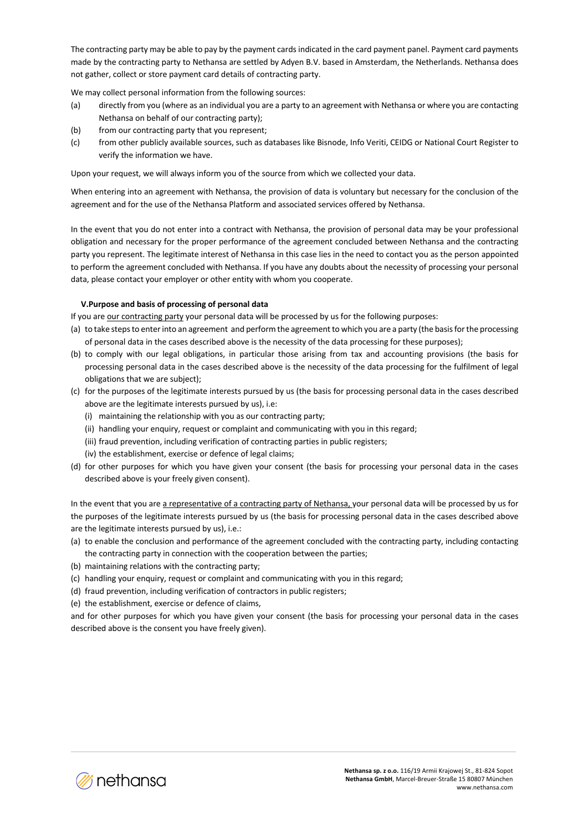The contracting party may be able to pay by the payment cards indicated in the card payment panel. Payment card payments made by the contracting party to Nethansa are settled by Adyen B.V. based in Amsterdam, the Netherlands. Nethansa does not gather, collect or store payment card details of contracting party.

We may collect personal information from the following sources:

- (a) directly from you (where as an individual you are a party to an agreement with Nethansa or where you are contacting Nethansa on behalf of our contracting party);
- (b) from our contracting party that you represent;
- (c) from other publicly available sources, such as databases like Bisnode, Info Veriti, CEIDG or National Court Register to verify the information we have.

Upon your request, we will always inform you of the source from which we collected your data.

When entering into an agreement with Nethansa, the provision of data is voluntary but necessary for the conclusion of the agreement and for the use of the Nethansa Platform and associated services offered by Nethansa.

In the event that you do not enter into a contract with Nethansa, the provision of personal data may be your professional obligation and necessary for the proper performance of the agreement concluded between Nethansa and the contracting party you represent. The legitimate interest of Nethansa in this case lies in the need to contact you as the person appointed to perform the agreement concluded with Nethansa. If you have any doubts about the necessity of processing your personal data, please contact your employer or other entity with whom you cooperate.

## **V.Purpose and basis of processing of personal data**

If you are our contracting party your personal data will be processed by us for the following purposes:

- (a) to take steps to enter into an agreement and perform the agreementto which you are a party (the basis for the processing of personal data in the cases described above is the necessity of the data processing for these purposes);
- (b) to comply with our legal obligations, in particular those arising from tax and accounting provisions (the basis for processing personal data in the cases described above is the necessity of the data processing for the fulfilment of legal obligations that we are subject);
- (c) for the purposes of the legitimate interests pursued by us (the basis for processing personal data in the cases described above are the legitimate interests pursued by us), i.e:
	- (i) maintaining the relationship with you as our contracting party;
	- (ii) handling your enquiry, request or complaint and communicating with you in this regard;
	- (iii) fraud prevention, including verification of contracting parties in public registers;
	- (iv) the establishment, exercise or defence of legal claims;
- (d) for other purposes for which you have given your consent (the basis for processing your personal data in the cases described above is your freely given consent).

In the event that you are a representative of a contracting party of Nethansa, your personal data will be processed by us for the purposes of the legitimate interests pursued by us (the basis for processing personal data in the cases described above are the legitimate interests pursued by us), i.e.:

- (a) to enable the conclusion and performance of the agreement concluded with the contracting party, including contacting the contracting party in connection with the cooperation between the parties;
- (b) maintaining relations with the contracting party;
- (c) handling your enquiry, request or complaint and communicating with you in this regard;
- (d) fraud prevention, including verification of contractors in public registers;
- (e) the establishment, exercise or defence of claims,

and for other purposes for which you have given your consent (the basis for processing your personal data in the cases described above is the consent you have freely given).

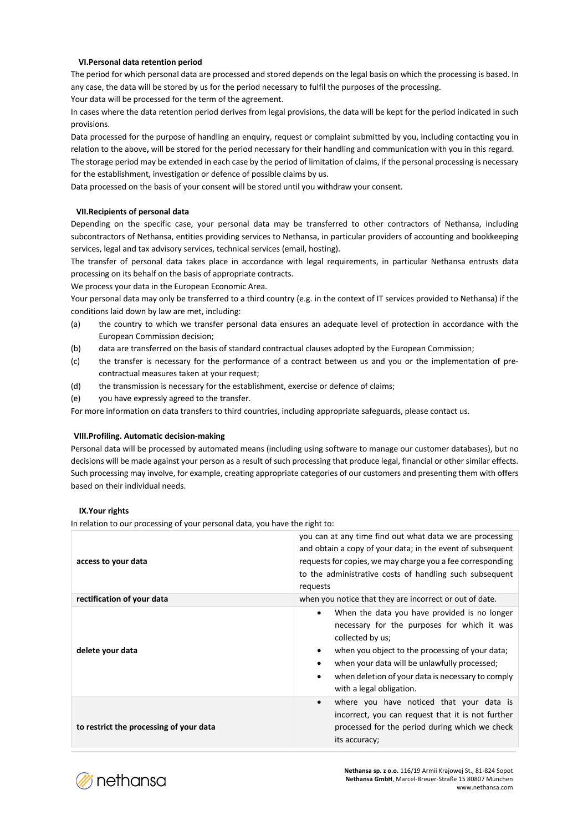## **VI.Personal data retention period**

The period for which personal data are processed and stored depends on the legal basis on which the processing is based. In any case, the data will be stored by us for the period necessary to fulfil the purposes of the processing. Your data will be processed for the term of the agreement.

In cases where the data retention period derives from legal provisions, the data will be kept for the period indicated in such provisions.

Data processed for the purpose of handling an enquiry, request or complaint submitted by you, including contacting you in relation to the above**,** will be stored for the period necessary for their handling and communication with you in this regard.

The storage period may be extended in each case by the period of limitation of claims, if the personal processing is necessary for the establishment, investigation or defence of possible claims by us.

Data processed on the basis of your consent will be stored until you withdraw your consent.

#### **VII.Recipients of personal data**

Depending on the specific case, your personal data may be transferred to other contractors of Nethansa, including subcontractors of Nethansa, entities providing services to Nethansa, in particular providers of accounting and bookkeeping services, legal and tax advisory services, technical services (email, hosting).

The transfer of personal data takes place in accordance with legal requirements, in particular Nethansa entrusts data processing on its behalf on the basis of appropriate contracts.

We process your data in the European Economic Area.

Your personal data may only be transferred to a third country (e.g. in the context of IT services provided to Nethansa) if the conditions laid down by law are met, including:

- (a) the country to which we transfer personal data ensures an adequate level of protection in accordance with the European Commission decision;
- (b) data are transferred on the basis of standard contractual clauses adopted by the European Commission;
- (c) the transfer is necessary for the performance of a contract between us and you or the implementation of precontractual measures taken at your request;
- (d) the transmission is necessary for the establishment, exercise or defence of claims;
- (e) you have expressly agreed to the transfer.

For more information on data transfers to third countries, including appropriate safeguards, please contact us.

## **VIII.Profiling. Automatic decision-making**

Personal data will be processed by automated means (including using software to manage our customer databases), but no decisions will be made against your person as a result of such processing that produce legal, financial or other similar effects. Such processing may involve, for example, creating appropriate categories of our customers and presenting them with offers based on their individual needs.

#### **IX.Your rights**

In relation to our processing of your personal data, you have the right to:

| access to your data                     | you can at any time find out what data we are processing<br>and obtain a copy of your data; in the event of subsequent<br>requests for copies, we may charge you a fee corresponding<br>to the administrative costs of handling such subsequent<br>requests                                                                                     |
|-----------------------------------------|-------------------------------------------------------------------------------------------------------------------------------------------------------------------------------------------------------------------------------------------------------------------------------------------------------------------------------------------------|
| rectification of your data              | when you notice that they are incorrect or out of date.                                                                                                                                                                                                                                                                                         |
| delete your data                        | When the data you have provided is no longer<br>$\bullet$<br>necessary for the purposes for which it was<br>collected by us;<br>when you object to the processing of your data;<br>$\bullet$<br>when your data will be unlawfully processed;<br>٠<br>when deletion of your data is necessary to comply<br>$\bullet$<br>with a legal obligation. |
| to restrict the processing of your data | where you have noticed that your data is<br>$\bullet$<br>incorrect, you can request that it is not further<br>processed for the period during which we check<br>its accuracy;                                                                                                                                                                   |